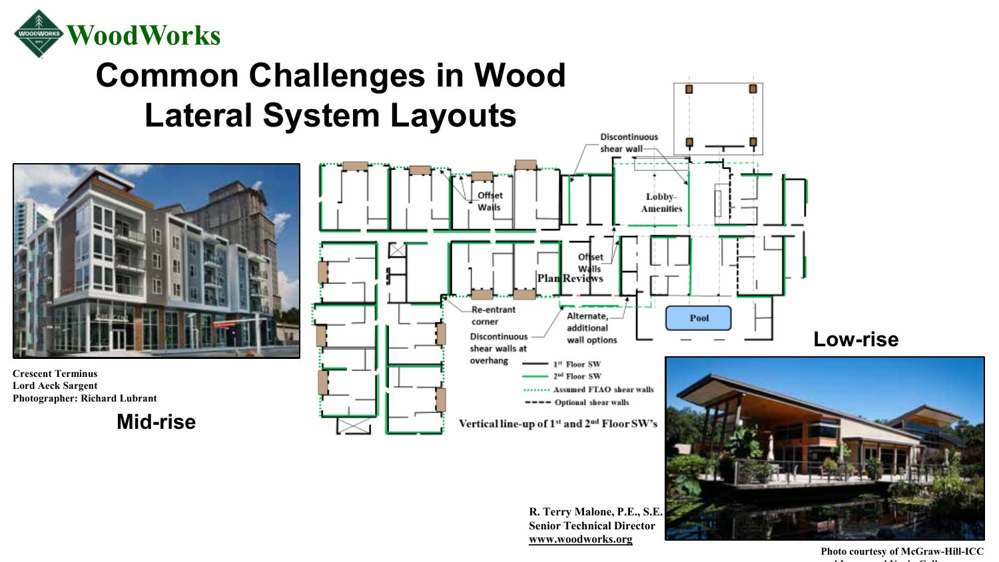

## **Common Challenges in Wood Lateral System Layouts**



**Crescent Terminus Lord Aeck Sargent Photographer: Richard Lubrant**

**Mid-rise**



**R. Terry Malone, P.E., S.E. Senior Technical Director [www.woodworks.org](http://www.woodworks.org/)**

**Photo courtesy of McGraw-Hill-ICC and Laura and Kevin Cullen**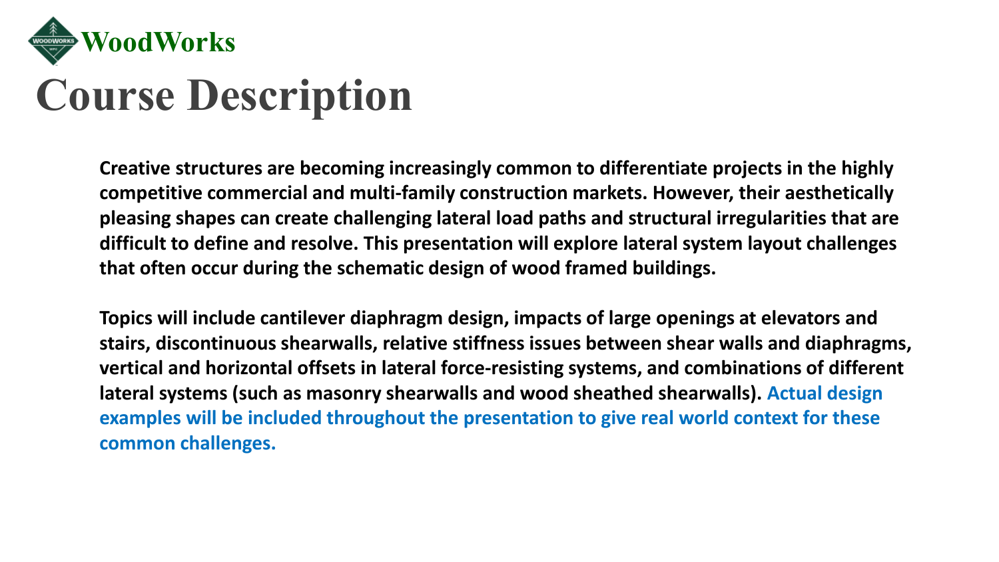

# **Course Description**

**Creative structures are becoming increasingly common to differentiate projects in the highly competitive commercial and multi-family construction markets. However, their aesthetically pleasing shapes can create challenging lateral load paths and structural irregularities that are difficult to define and resolve. This presentation will explore lateral system layout challenges that often occur during the schematic design of wood framed buildings.** 

**Topics will include cantilever diaphragm design, impacts of large openings at elevators and stairs, discontinuous shearwalls, relative stiffness issues between shear walls and diaphragms, vertical and horizontal offsets in lateral force-resisting systems, and combinations of different lateral systems (such as masonry shearwalls and wood sheathed shearwalls). Actual design examples will be included throughout the presentation to give real world context for these common challenges.**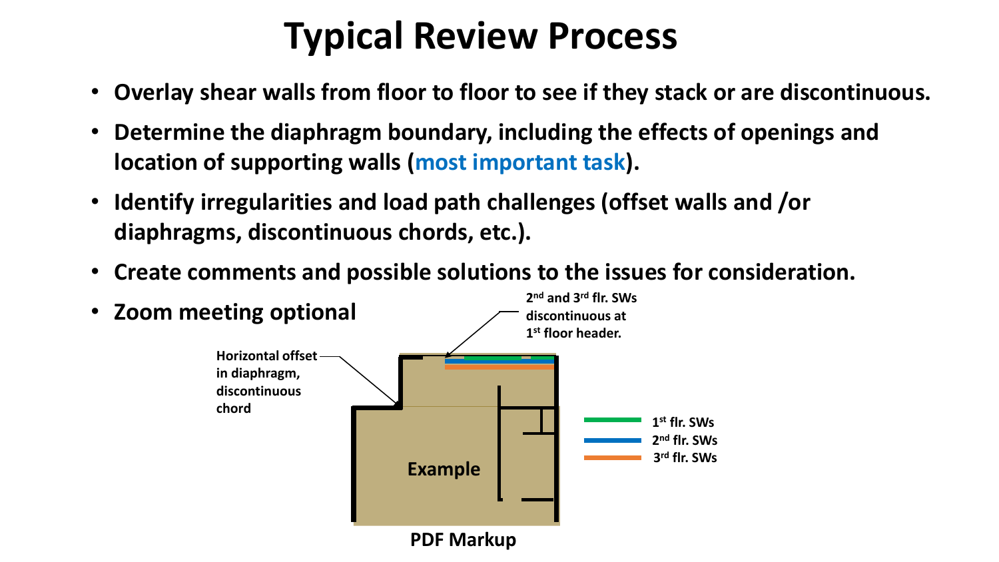# **Typical Review Process**

- **Overlay shear walls from floor to floor to see if they stack or are discontinuous.**
- **Determine the diaphragm boundary, including the effects of openings and location of supporting walls (most important task).**
- **Identify irregularities and load path challenges (offset walls and /or diaphragms, discontinuous chords, etc.).**
- **Create comments and possible solutions to the issues for consideration.**

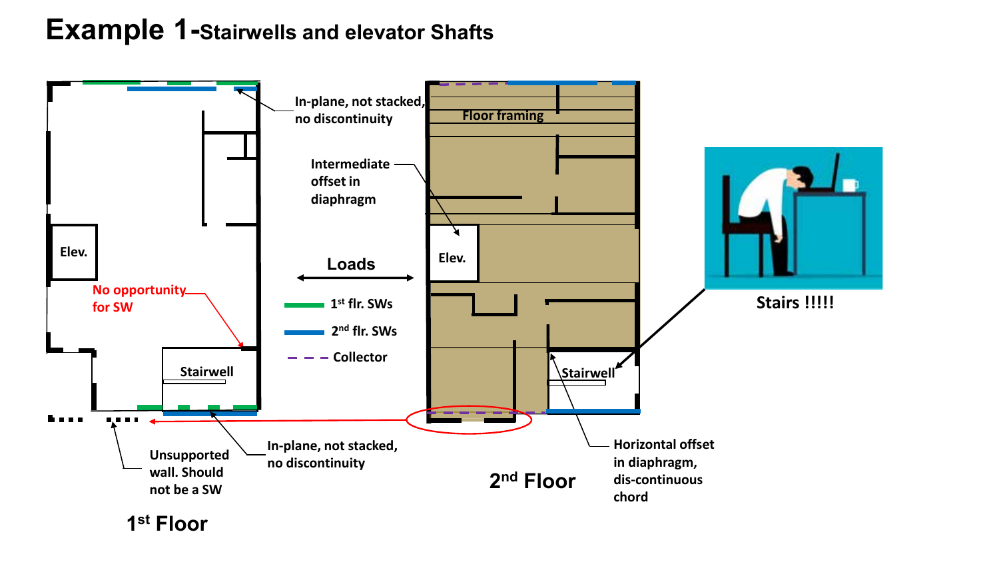### **Example 1-Stairwells and elevator Shafts**



**1st Floor**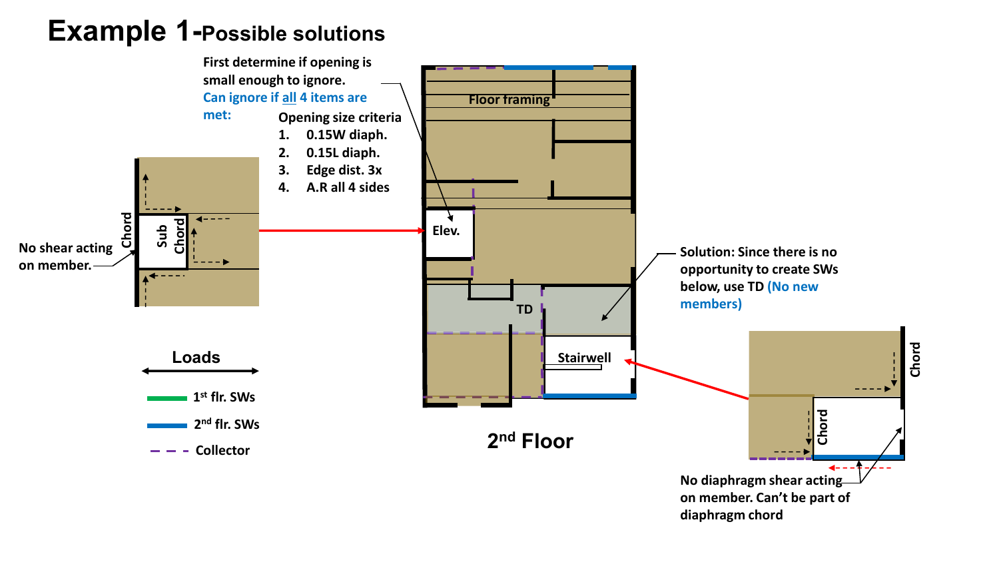### **Example 1-Possible solutions**

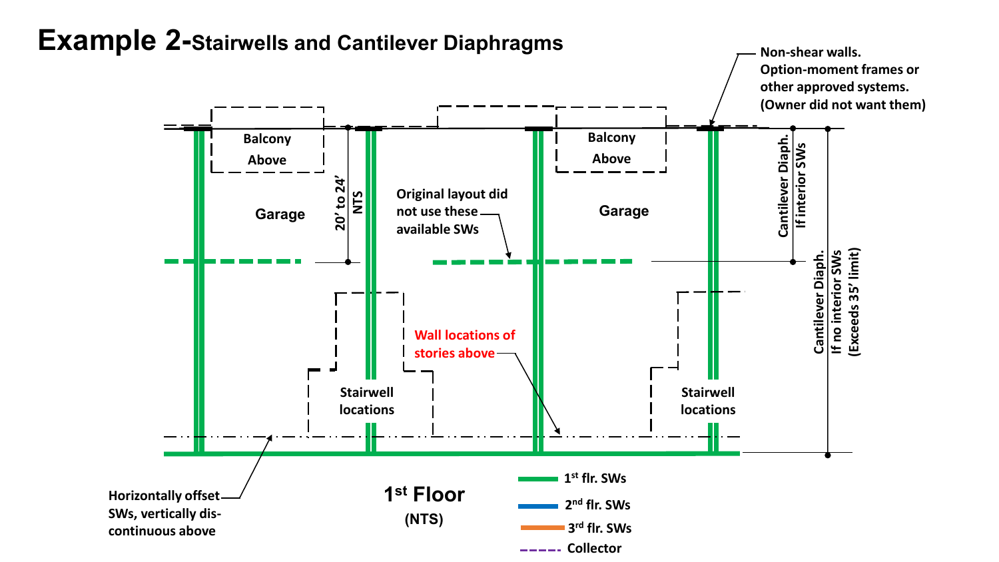

### **Example 2-Stairwells and Cantilever Diaphragms**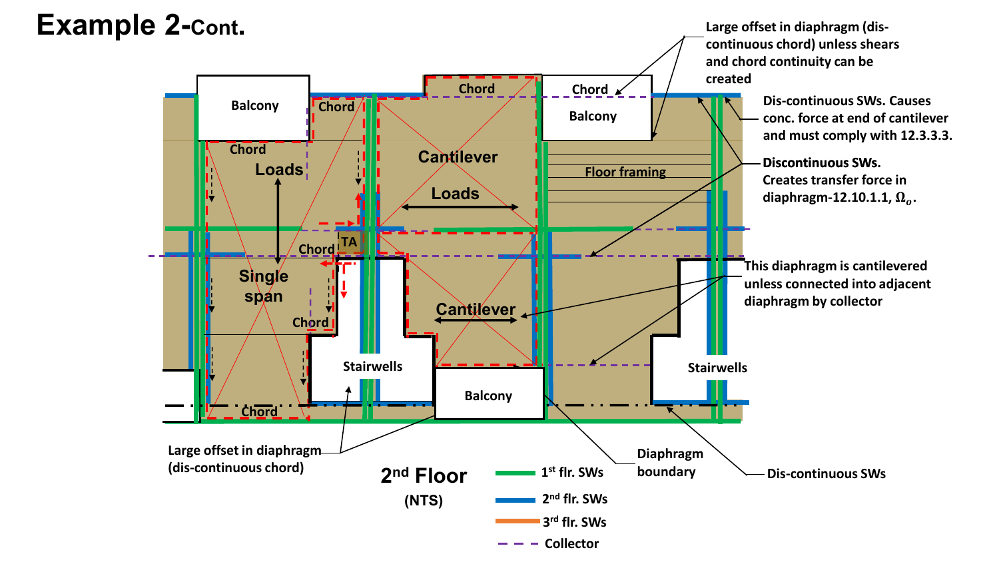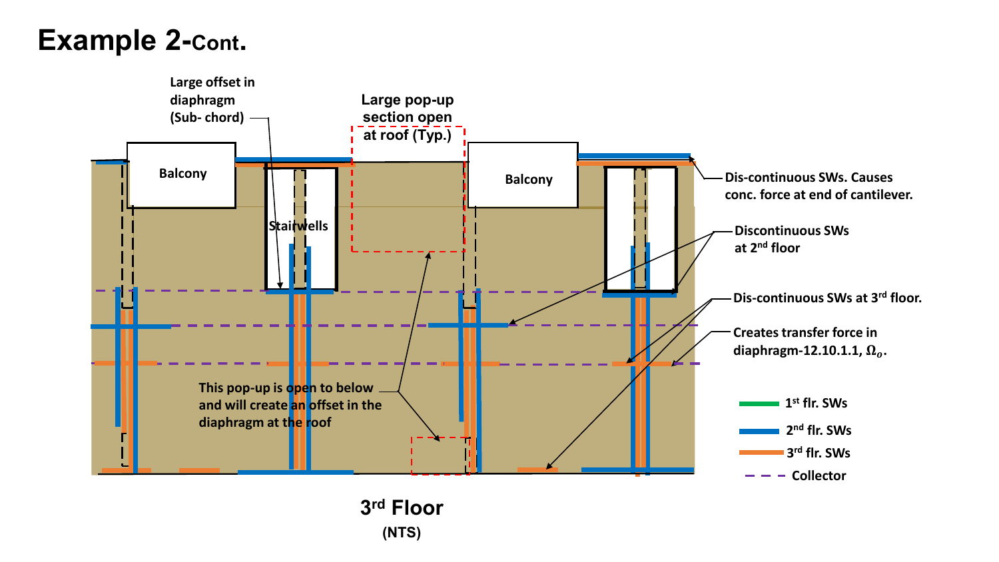## **Example 2-Cont.**

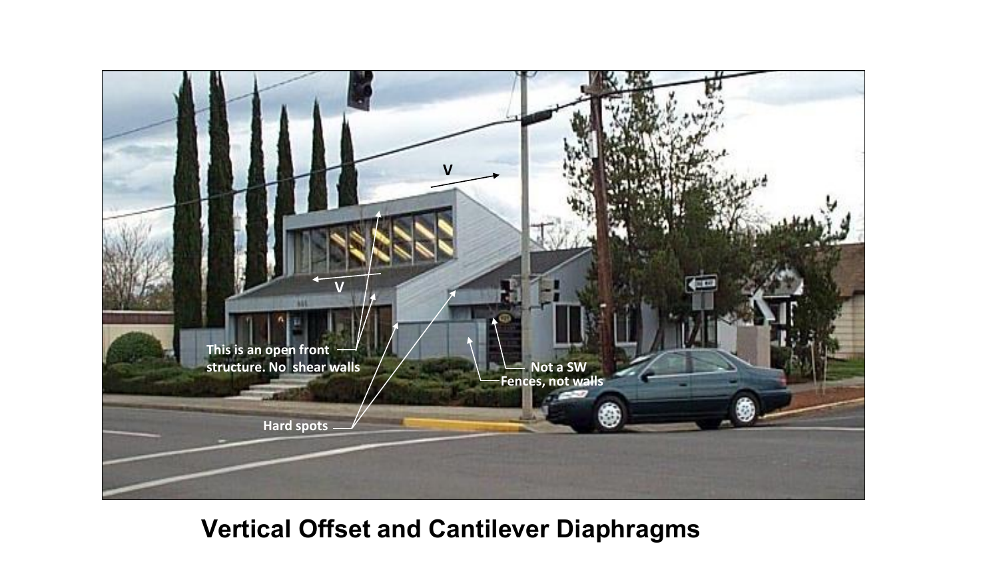

### **Vertical Offset and Cantilever Diaphragms**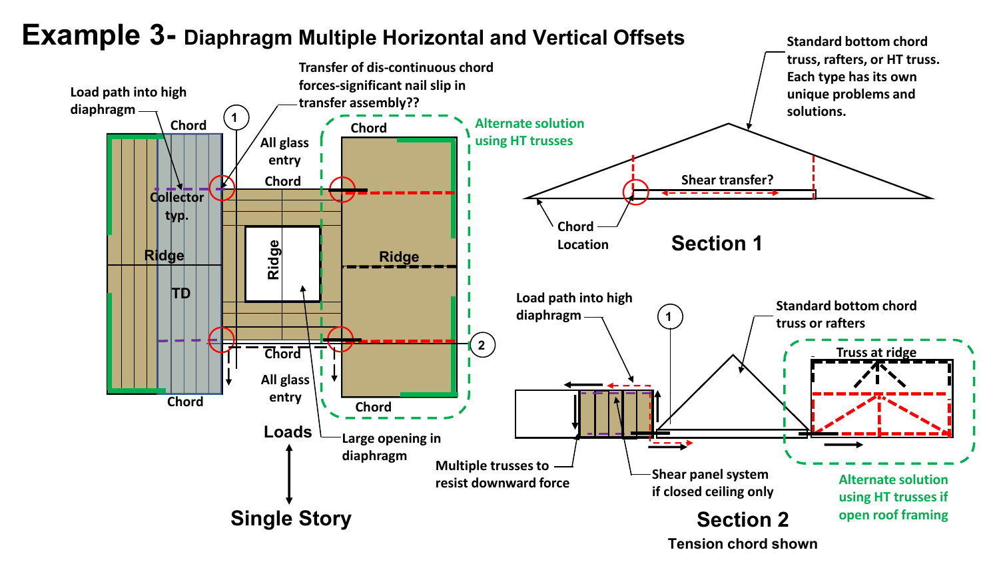

### **Example 3- Diaphragm Multiple Horizontal and Vertical Offsets**

**Tension chord shown**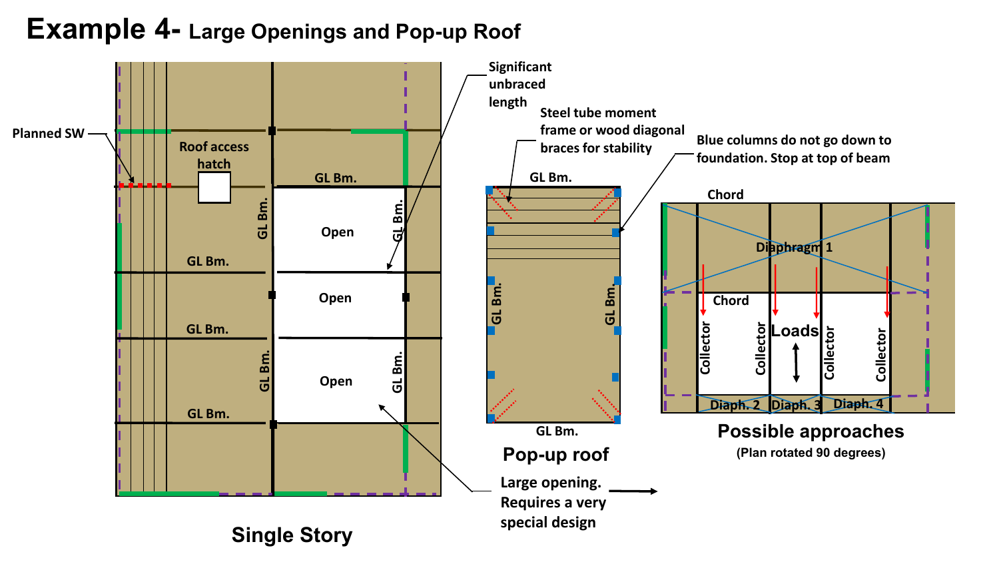### **Example 4- Large Openings and Pop-up Roof**

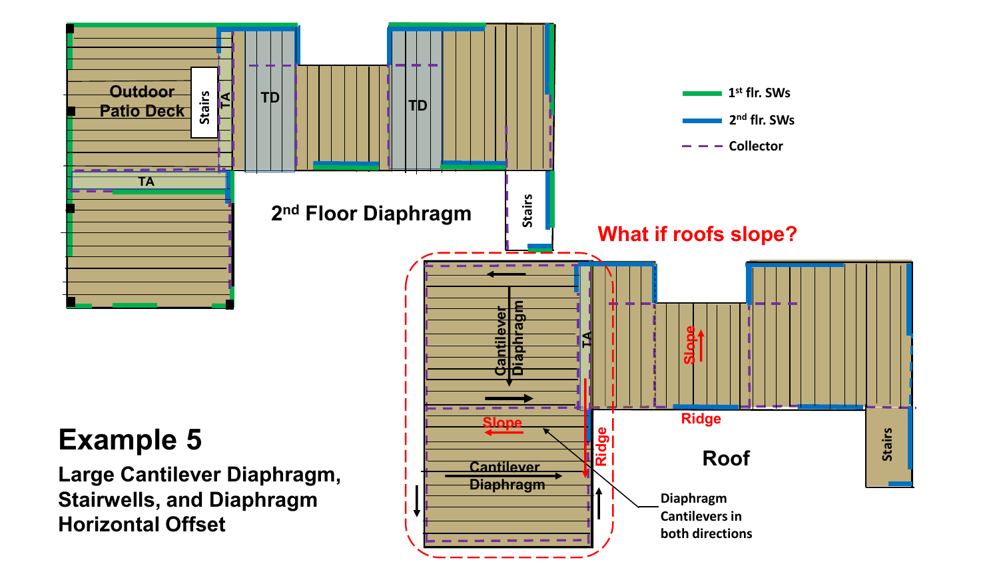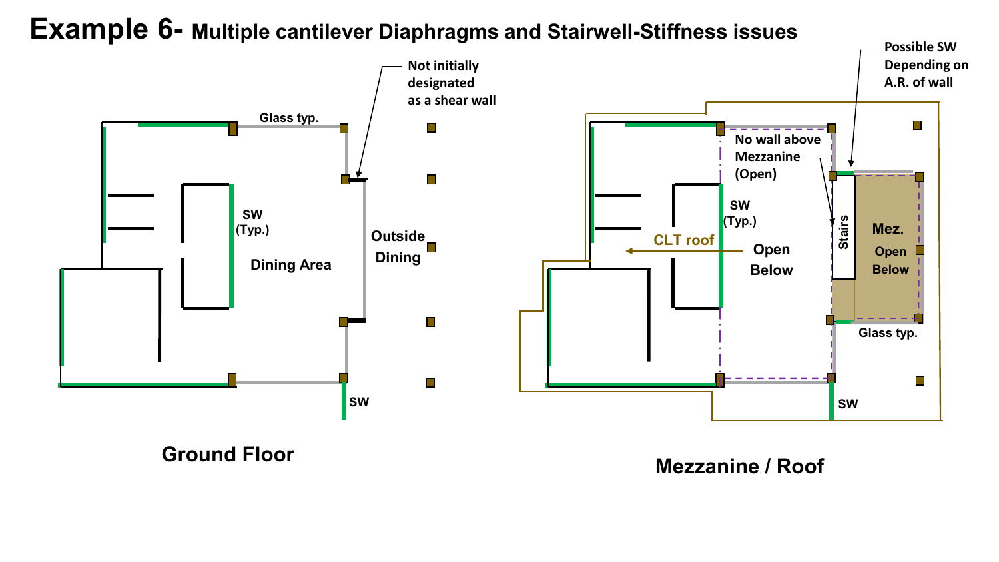### **Example 6- Multiple cantilever Diaphragms and Stairwell-Stiffness issues**



**Ground Floor Mezzanine / Roof**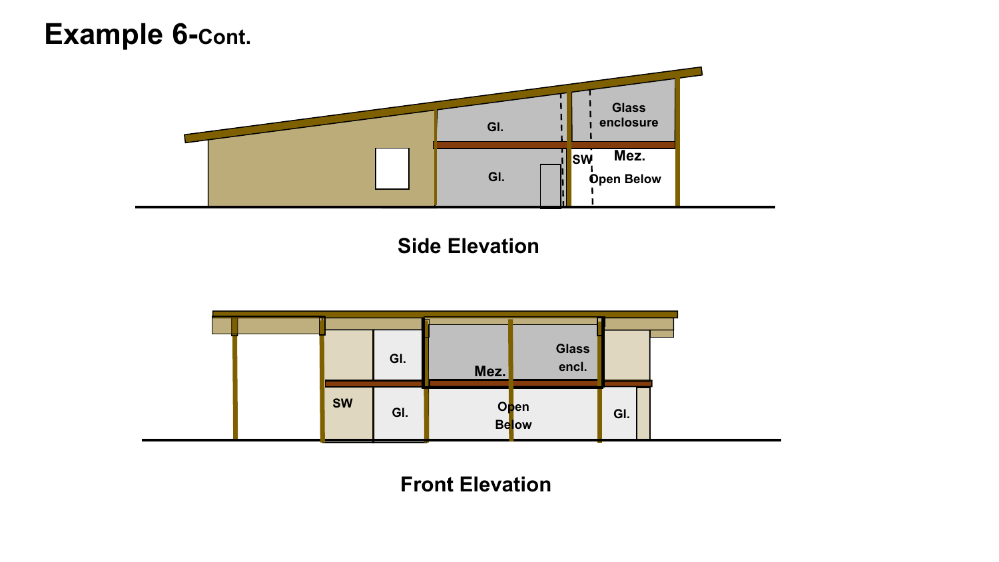### **Example 6-Cont.**



**Side Elevation**



**Front Elevation**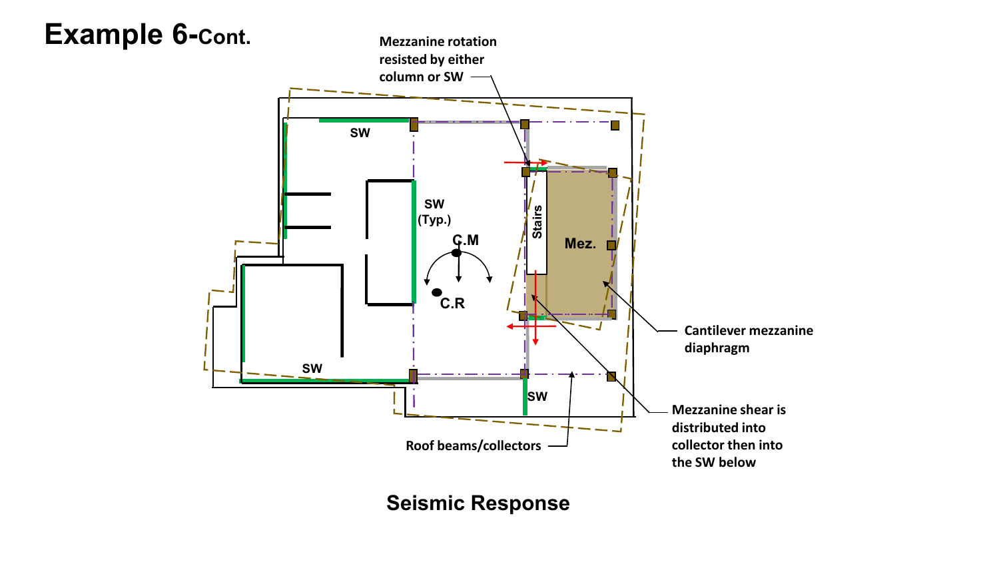

**Seismic Response**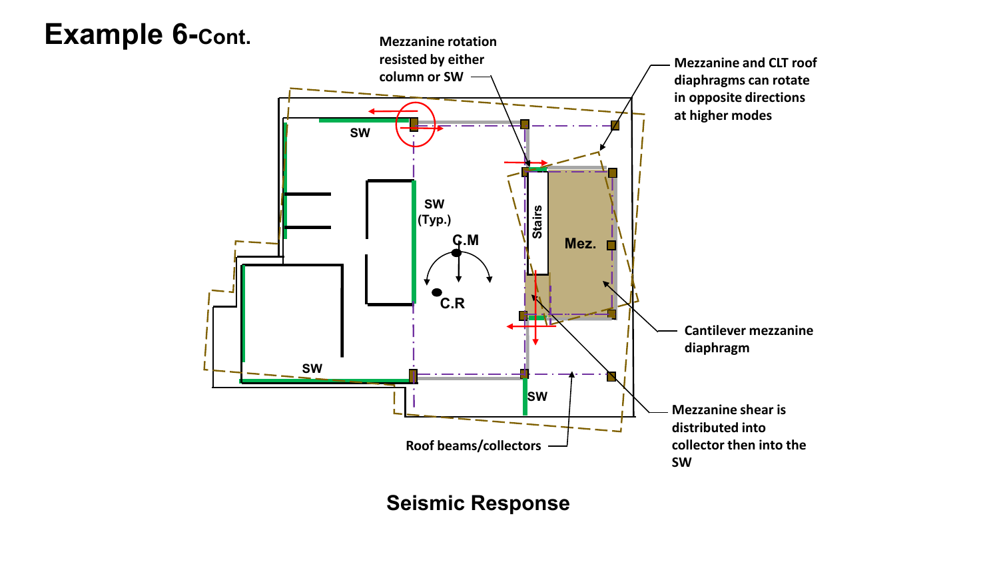

**Seismic Response**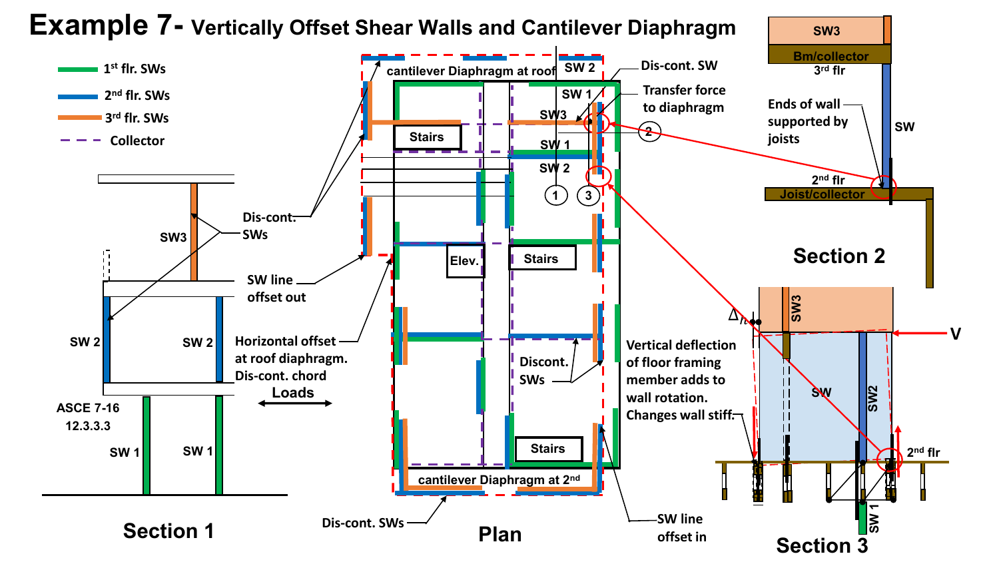**Example 7- Vertically Offset Shear Walls and Cantilever Diaphragm SW3 Bm/collector Dis-cont. SW SW 2 1 cantilever Diaphragm at roof st flr. SWs 3rd flr Transfer force SW 1 2nd flr. SWs Ends of wall to diaphragm SW3 3rd flr. SWs supported by SW 2 Stairs joists Collector SW 1 SW 2 2nd flr 1 3 Joist/collector Dis-cont. SWs SW3 Section 2 Elev. Stairs SW line offset out SW3**  $\Delta$ **Vertical deflection SW 2 SW 2 Horizontal offset at roof diaphragm. Discont. of floor framing Dis-cont. chord member adds to SWs**  $\mathbf{1}$ **SW2 SW Loads**  $\mathbf{1}$ **wall rotation. ASCE 7-16**  $\mathbf{H}$ **Changes wall stiff.** П **12.3.3.3 Stairs SW 1 SW 1 2nd flrcantilever Diaphragm at 2nd** <mark>|ຸ</mark><br>ລົ **SW line Dis-cont. SWs Section 1 Plan offset in Section 3**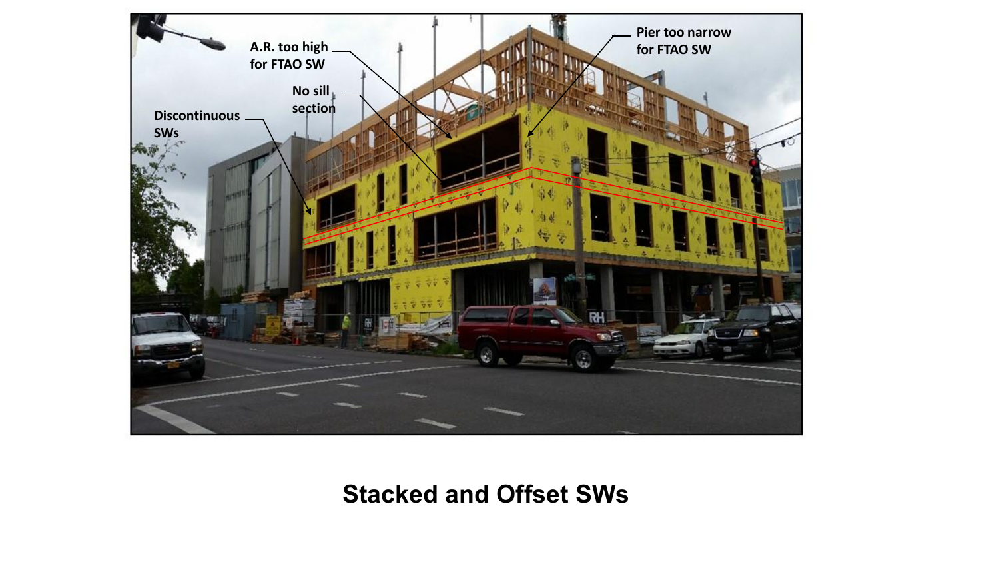

### **Stacked and Offset SWs**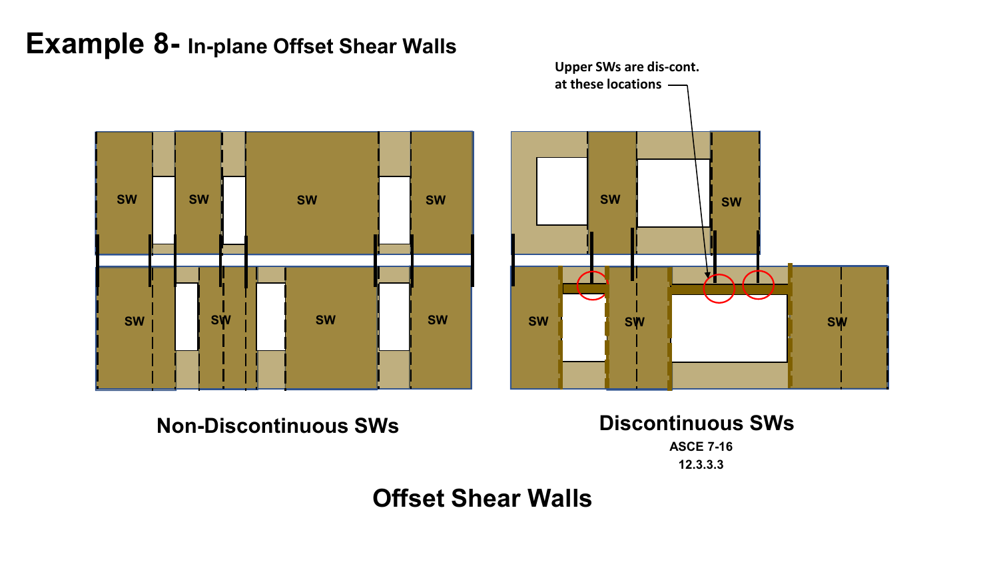### **Example 8- In-plane Offset Shear Walls**





**Non-Discontinuous SWs Discontinuous SWs**

**ASCE 7-16**

**12.3.3.3**

### **Offset Shear Walls**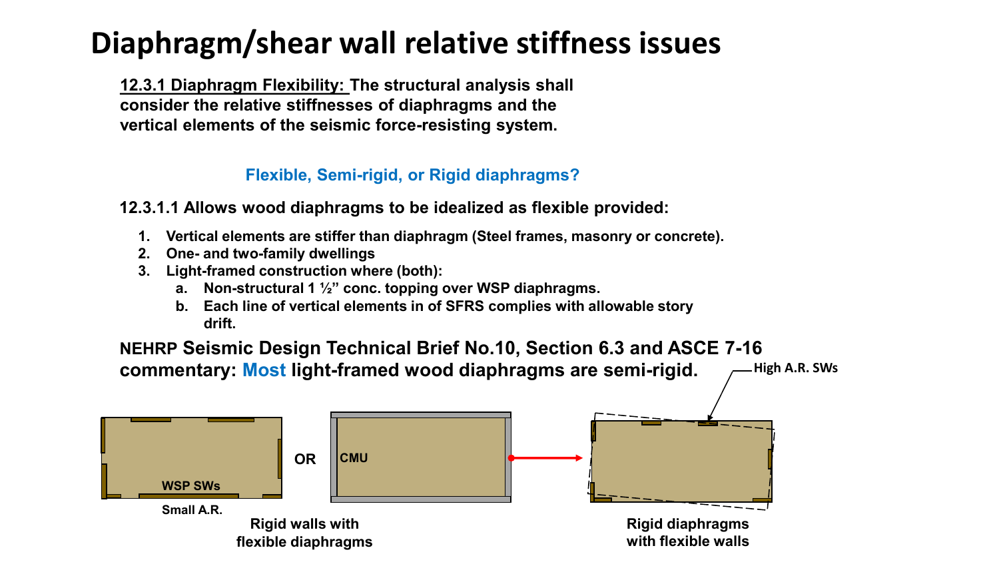## **Diaphragm/shear wall relative stiffness issues**

**12.3.1 Diaphragm Flexibility: The structural analysis shall consider the relative stiffnesses of diaphragms and the vertical elements of the seismic force-resisting system.** 

### **Flexible, Semi-rigid, or Rigid diaphragms?**

**12.3.1.1 Allows wood diaphragms to be idealized as flexible provided:**

- **1. Vertical elements are stiffer than diaphragm (Steel frames, masonry or concrete).**
- **2. One- and two-family dwellings**
- **3. Light-framed construction where (both):**
	- **a. Non-structural 1 ½" conc. topping over WSP diaphragms.**
	- **b. Each line of vertical elements in of SFRS complies with allowable story drift.**



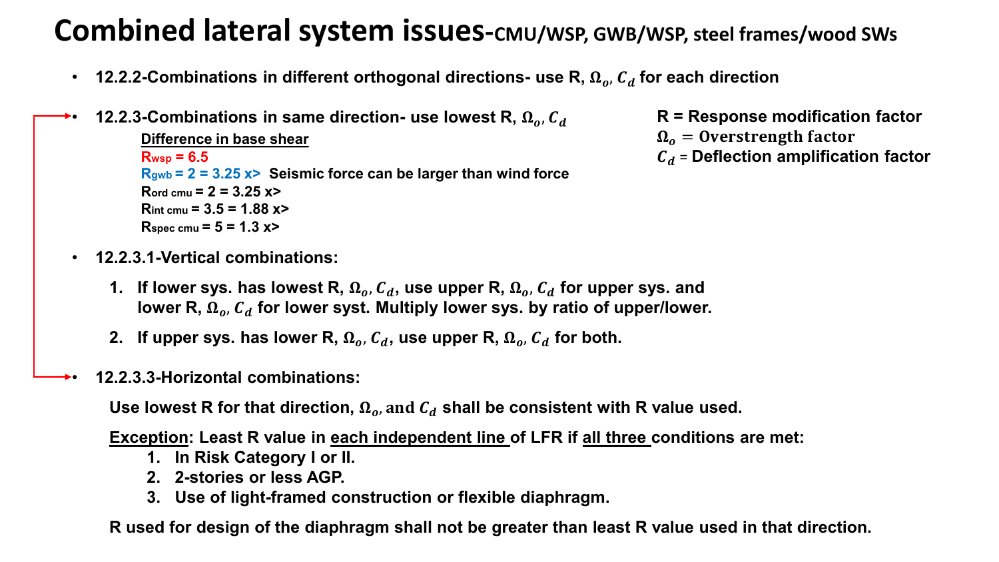## **Combined lateral system issues-***CMU*/WSP, GWB/WSP, steel frames/wood SWs

- **12.2.2-Combinations in different orthogonal directions- use R,**  $\Omega_o$ **,**  $C_d$  **for each direction**
- **12.2.3-Combinations in same direction- use lowest R,**  $\Omega_{o}$ **,**  $C_{d}$ **Difference in base shear Rwsp = 6.5 Rgwb = 2 = 3.25 x> Seismic force can be larger than wind force**  $R_{\text{ord cmu}} = 2 = 3.25 \text{ x}$ **Rint cmu = 3.5 = 1.88 x>**  $R<sub>spec</sub>$  cmu =  $5 = 1.3$  x>
	- **12.2.3.1-Vertical combinations:**
		- 1. If lower sys. has lowest R,  $\Omega_o$ ,  $C_d$ , use upper R,  $\Omega_o$ ,  $C_d$  for upper sys. and lower R,  $\Omega_o$ ,  $C_d$  for lower syst. Multiply lower sys. by ratio of upper/lower.
		- **2.** If upper sys. has lower R,  $\Omega_{a}$ ,  $C_{d}$ , use upper R,  $\Omega_{a}$ ,  $C_{d}$  for both.
	- **12.2.3.3-Horizontal combinations:**

Use lowest R for that direction,  $\Omega_o$ , and  $C_d$  shall be consistent with R value used.

**Exception: Least R value in each independent line of LFR if all three conditions are met:**

- **1. In Risk Category I or II.**
- **2. 2-stories or less AGP.**
- **3. Use of light-framed construction or flexible diaphragm.**

**R used for design of the diaphragm shall not be greater than least R value used in that direction.**

- **R = Response modification factor**
- $\Omega_o =$  Overstrength factor
- = **Deflection amplification factor**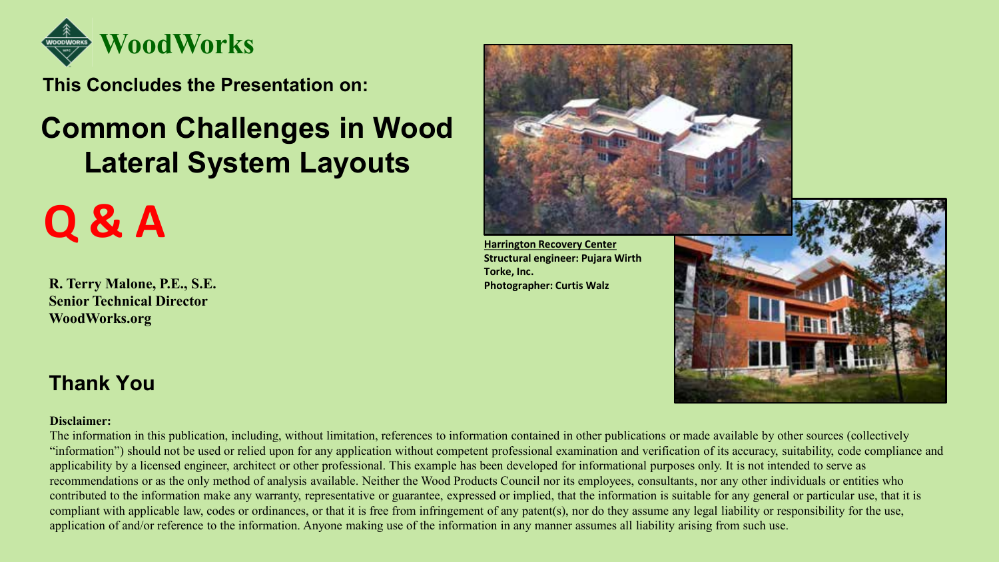

**This Concludes the Presentation on:**

## **Common Challenges in Wood Lateral System Layouts**

# **Q & A**

**R. Terry Malone, P.E., S.E. Senior Technical Director WoodWorks.org**



### **Thank You**

### **Disclaimer:**

The information in this publication, including, without limitation, references to information contained in other publications or made available by other sources (collectively "information") should not be used or relied upon for any application without competent professional examination and verification of its accuracy, suitability, code compliance and applicability by a licensed engineer, architect or other professional. This example has been developed for informational purposes only. It is not intended to serve as recommendations or as the only method of analysis available. Neither the Wood Products Council nor its employees, consultants, nor any other individuals or entities who contributed to the information make any warranty, representative or guarantee, expressed or implied, that the information is suitable for any general or particular use, that it is compliant with applicable law, codes or ordinances, or that it is free from infringement of any patent(s), nor do they assume any legal liability or responsibility for the use, application of and/or reference to the information. Anyone making use of the information in any manner assumes all liability arising from such use.